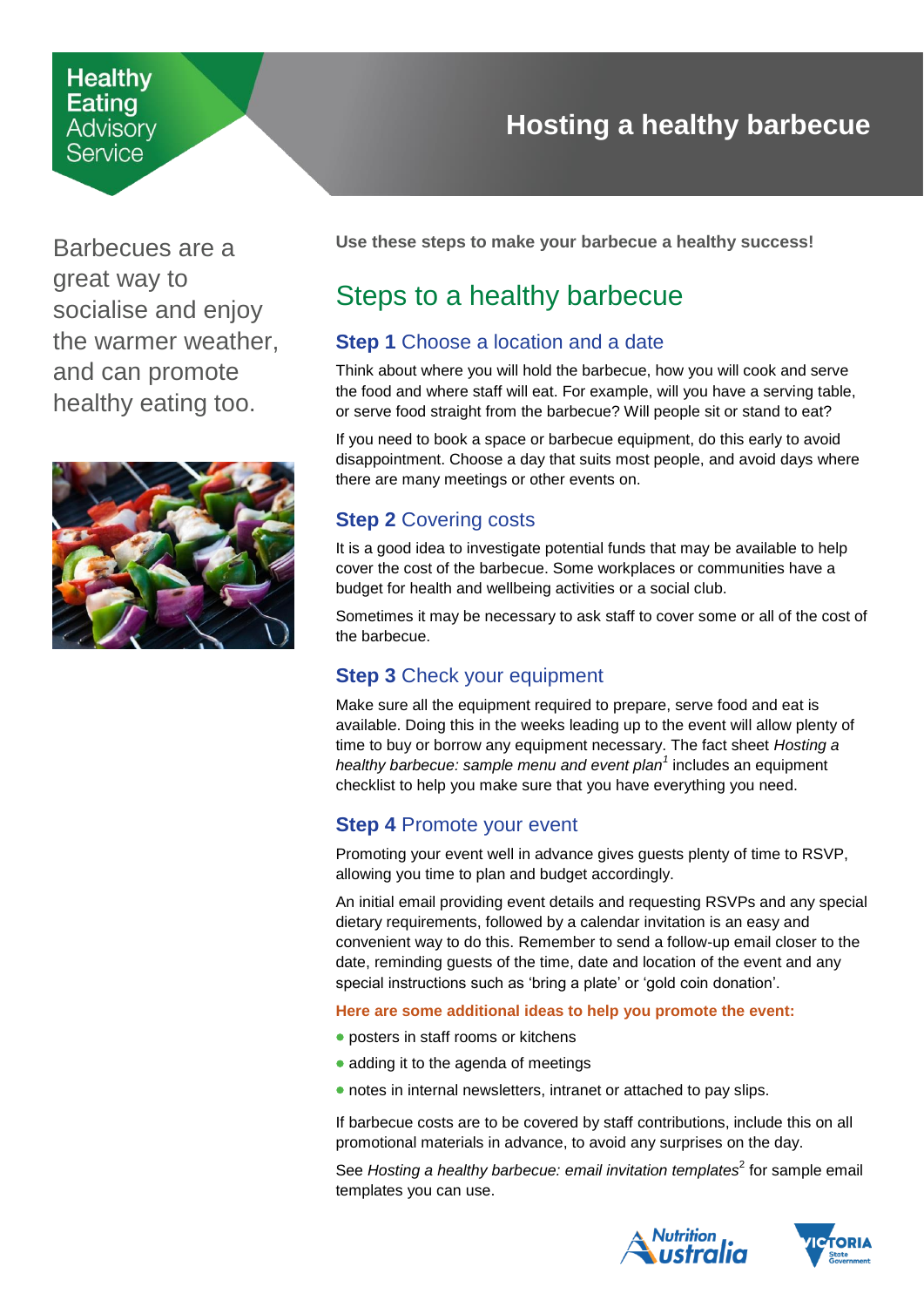## **Healthy Eating** Advisorv Service

Barbecues are a great way to socialise and enjoy the warmer weather, and can promote healthy eating too.



# **Hosting a healthy barbecue**

<span id="page-0-0"></span>**Use these steps to make your barbecue a healthy success!** 

# Steps to a healthy barbecue

## **Step 1** Choose a location and a date

Think about where you will hold the barbecue, how you will cook and serve the food and where staff will eat. For example, will you have a serving table, or serve food straight from the barbecue? Will people sit or stand to eat?

If you need to book a space or barbecue equipment, do this early to avoid disappointment. Choose a day that suits most people, and avoid days where there are many meetings or other events on.

## **Step 2** Covering costs

It is a good idea to investigate potential funds that may be available to help cover the cost of the barbecue. Some workplaces or communities have a budget for health and wellbeing activities or a social club.

Sometimes it may be necessary to ask staff to cover some or all of the cost of the barbecue.

## **Step 3** Check your equipment

Make sure all the equipment required to prepare, serve food and eat is available. Doing this in the weeks leading up to the event will allow plenty of time to buy or borrow any equipment necessary. The fact sheet *Hosting a healthy barbecue: sample menu and event plan<sup>1</sup>* includes an equipment checklist to help you make sure that you have everything you need.

# **Step 4** Promote your event

Promoting your event well in advance gives guests plenty of time to RSVP, allowing you time to plan and budget accordingly.

An initial email providing event details and requesting RSVPs and any special dietary requirements, followed by a calendar invitation is an easy and convenient way to do this. Remember to send a follow-up email closer to the date, reminding guests of the time, date and location of the event and any special instructions such as 'bring a plate' or 'gold coin donation'.

#### **Here are some additional ideas to help you promote the event:**

- posters in staff rooms or kitchens
- adding it to the agenda of meetings
- notes in internal newsletters, intranet or attached to pay slips.

If barbecue costs are to be covered by staff contributions, include this on all promotional materials in advance, to avoid any surprises on the day.

See Hosting a healthy barbecue: email invitation templates<sup>2</sup> for sample email templates you can use.